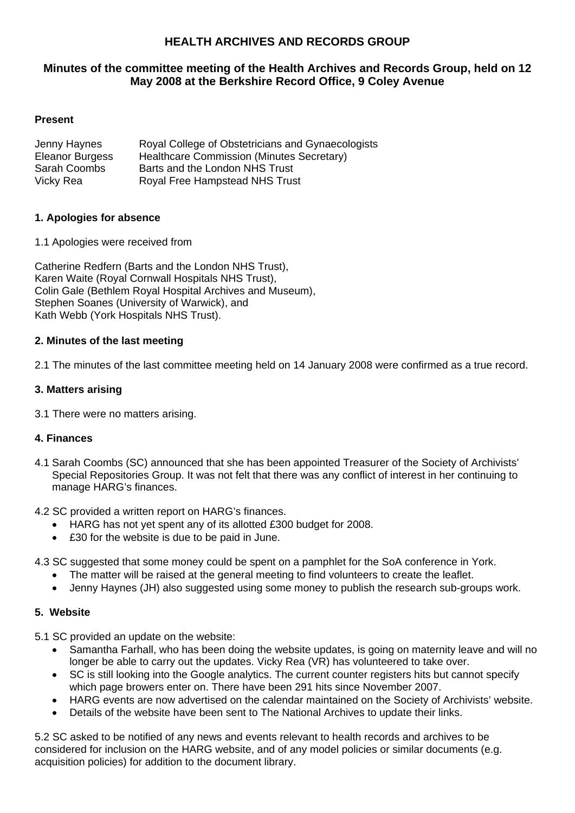# **HEALTH ARCHIVES AND RECORDS GROUP**

## **Minutes of the committee meeting of the Health Archives and Records Group, held on 12 May 2008 at the Berkshire Record Office, 9 Coley Avenue**

### **Present**

| Jenny Haynes           | Royal College of Obstetricians and Gynaecologists |
|------------------------|---------------------------------------------------|
| <b>Eleanor Burgess</b> | Healthcare Commission (Minutes Secretary)         |
| Sarah Coombs           | Barts and the London NHS Trust                    |
| Vicky Rea              | Royal Free Hampstead NHS Trust                    |

#### **1. Apologies for absence**

1.1 Apologies were received from

Catherine Redfern (Barts and the London NHS Trust), Karen Waite (Royal Cornwall Hospitals NHS Trust), Colin Gale (Bethlem Royal Hospital Archives and Museum), Stephen Soanes (University of Warwick), and Kath Webb (York Hospitals NHS Trust).

### **2. Minutes of the last meeting**

2.1 The minutes of the last committee meeting held on 14 January 2008 were confirmed as a true record.

### **3. Matters arising**

3.1 There were no matters arising.

### **4. Finances**

- 4.1 Sarah Coombs (SC) announced that she has been appointed Treasurer of the Society of Archivists' Special Repositories Group. It was not felt that there was any conflict of interest in her continuing to manage HARG's finances.
- 4.2 SC provided a written report on HARG's finances.
	- HARG has not yet spent any of its allotted £300 budget for 2008.
	- £30 for the website is due to be paid in June.
- 4.3 SC suggested that some money could be spent on a pamphlet for the SoA conference in York.
	- The matter will be raised at the general meeting to find volunteers to create the leaflet.
	- Jenny Haynes (JH) also suggested using some money to publish the research sub-groups work.

### **5. Website**

5.1 SC provided an update on the website:

- Samantha Farhall, who has been doing the website updates, is going on maternity leave and will no longer be able to carry out the updates. Vicky Rea (VR) has volunteered to take over.
- SC is still looking into the Google analytics. The current counter registers hits but cannot specify which page browers enter on. There have been 291 hits since November 2007.
- HARG events are now advertised on the calendar maintained on the Society of Archivists' website.
- Details of the website have been sent to The National Archives to update their links.

5.2 SC asked to be notified of any news and events relevant to health records and archives to be considered for inclusion on the HARG website, and of any model policies or similar documents (e.g. acquisition policies) for addition to the document library.